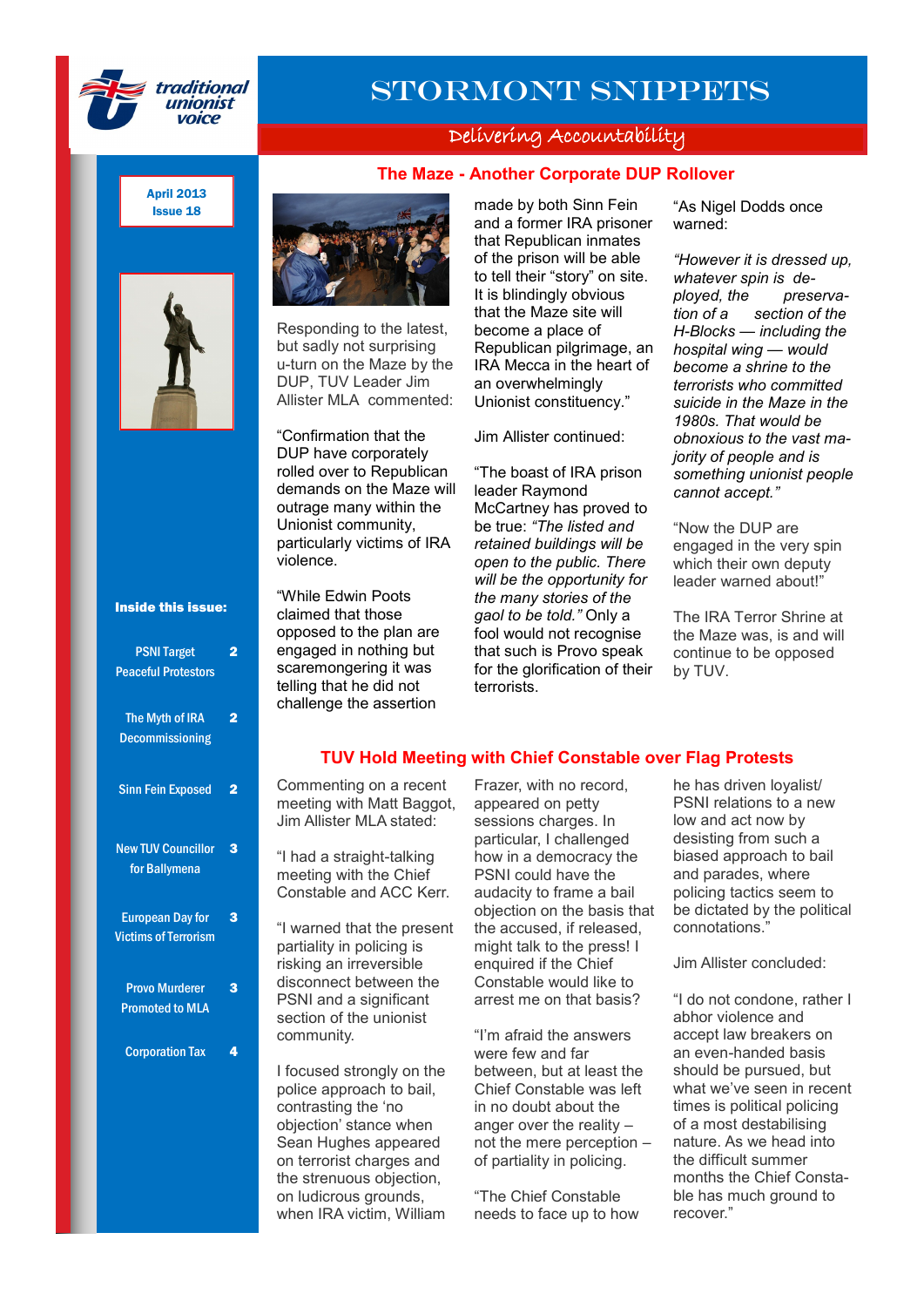

# Stormont Snippets

### Delivering Accountability

## made by both Sinn Fein **The Maze - Another Corporate DUP Rollover**

and a former IRA prisoner that Republican inmates of the prison will be able to tell their "story" on site.

April 2013 Issue 18





Responding to the latest, but sadly not surprising u-turn on the Maze by the DUP, TUV Leader Jim Allister MLA commented:

"Confirmation that the DUP have corporately rolled over to Republican demands on the Maze will outrage many within the Unionist community, particularly victims of IRA violence.

It is blindingly obvious that the Maze site will become a place of Republican pilgrimage, an IRA Mecca in the heart of an overwhelmingly Unionist constituency." Jim Allister continued: "The boast of IRA prison

leader Raymond McCartney has proved to be true: *"The listed and retained buildings will be open to the public. There will be the opportunity for the many stories of the gaol to be told."* Only a fool would not recognise that such is Provo speak for the glorification of their terrorists.

"As Nigel Dodds once warned:

*"However it is dressed up, whatever spin is deployed, the preservation of a section of the H-Blocks — including the hospital wing — would become a shrine to the terrorists who committed suicide in the Maze in the 1980s. That would be obnoxious to the vast majority of people and is something unionist people cannot accept."*

"Now the DUP are engaged in the very spin which their own deputy leader warned about!"

The IRA Terror Shrine at the Maze was, is and will continue to be opposed by TUV.

#### Inside this issue:

| <b>PSNI Target</b><br><b>Peaceful Protestors</b>       |   |
|--------------------------------------------------------|---|
| The Myth of IRA<br><b>Decommissioning</b>              | 2 |
| <b>Sinn Fein Exposed</b>                               | 2 |
| <b>New TUV Councillor</b><br>for Ballymena             | з |
| <b>European Day for</b><br><b>Victims of Terrorism</b> | 3 |
| <b>Provo Murderer</b><br><b>Promoted to MLA</b>        | 3 |
| <b>Corporation Tax</b>                                 | 4 |

opposed to the plan are engaged in nothing but scaremongering it was telling that he did not challenge the assertion

"While Edwin Poots claimed that those

#### **TUV Hold Meeting with Chief Constable over Flag Protests**

Commenting on a recent meeting with Matt Baggot, Jim Allister MLA stated:

"I had a straight-talking meeting with the Chief Constable and ACC Kerr.

"I warned that the present partiality in policing is risking an irreversible disconnect between the PSNI and a significant section of the unionist community.

I focused strongly on the police approach to bail, contrasting the 'no objection" stance when Sean Hughes appeared on terrorist charges and the strenuous objection, on ludicrous grounds, when IRA victim, William Frazer, with no record, appeared on petty sessions charges. In particular, I challenged how in a democracy the PSNI could have the audacity to frame a bail objection on the basis that the accused, if released, might talk to the press! I enquired if the Chief Constable would like to arrest me on that basis?

"I"m afraid the answers were few and far between, but at least the Chief Constable was left in no doubt about the anger over the reality – not the mere perception – of partiality in policing.

"The Chief Constable needs to face up to how he has driven loyalist/ PSNI relations to a new low and act now by desisting from such a biased approach to bail and parades, where policing tactics seem to be dictated by the political connotations."

Jim Allister concluded:

"I do not condone, rather I abhor violence and accept law breakers on an even-handed basis should be pursued, but what we"ve seen in recent times is political policing of a most destabilising nature. As we head into the difficult summer months the Chief Constable has much ground to recover."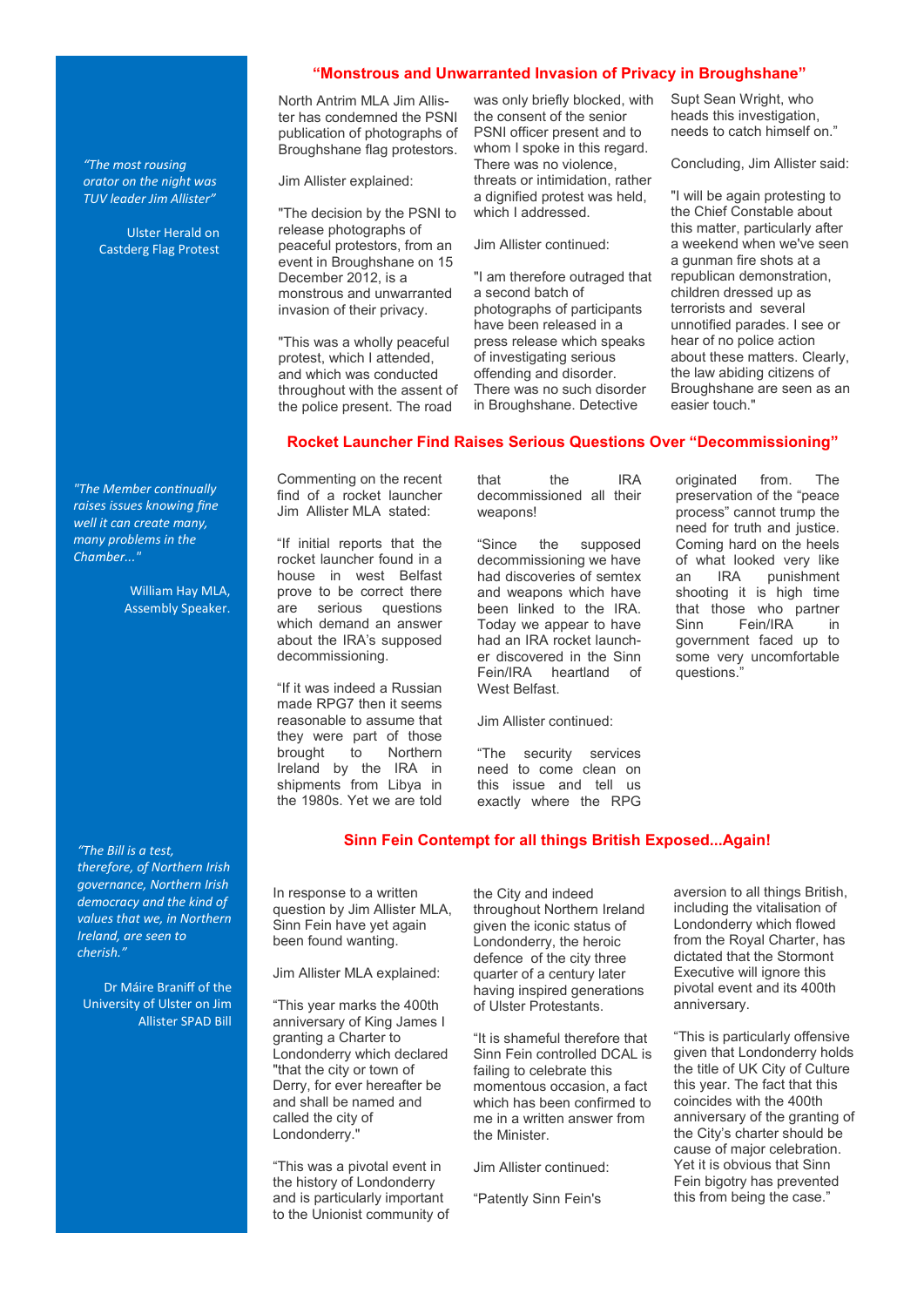#### **"Monstrous and Unwarranted Invasion of Privacy in Broughshane"**

North Antrim MLA Jim Allister has condemned the PSNI publication of photographs of Broughshane flag protestors.

Jim Allister explained:

"The decision by the PSNI to release photographs of peaceful protestors, from an event in Broughshane on 15 December 2012, is a monstrous and unwarranted invasion of their privacy.

"This was a wholly peaceful protest, which I attended, and which was conducted throughout with the assent of the police present. The road

was only briefly blocked, with the consent of the senior PSNI officer present and to whom I spoke in this regard. There was no violence, threats or intimidation, rather a dignified protest was held, which I addressed.

Jim Allister continued:

"I am therefore outraged that a second batch of photographs of participants have been released in a press release which speaks of investigating serious offending and disorder. There was no such disorder in Broughshane. Detective

Supt Sean Wright, who heads this investigation, needs to catch himself on."

Concluding, Jim Allister said:

"I will be again protesting to the Chief Constable about this matter, particularly after a weekend when we've seen a gunman fire shots at a republican demonstration, children dressed up as terrorists and several unnotified parades. I see or hear of no police action about these matters. Clearly, the law abiding citizens of Broughshane are seen as an easier touch."

#### **Rocket Launcher Find Raises Serious Questions Over "Decommissioning"**

Commenting on the recent find of a rocket launcher Jim Allister MLA stated:

"If initial reports that the rocket launcher found in a house in west Belfast prove to be correct there are serious questions which demand an answer about the IRA"s supposed decommissioning.

"If it was indeed a Russian made RPG7 then it seems reasonable to assume that they were part of those brought to Northern Ireland by the IRA in shipments from Libya in the 1980s. Yet we are told

that the IRA decommissioned all their weapons!

"Since the supposed decommissioning we have had discoveries of semtex and weapons which have been linked to the IRA. Today we appear to have had an IRA rocket launcher discovered in the Sinn Fein/IRA heartland of West Belfast.

Jim Allister continued:

"The security services need to come clean on this issue and tell us exactly where the RPG

originated from. The preservation of the "peace process" cannot trump the need for truth and justice. Coming hard on the heels of what looked very like<br>an IRA punishment an IRA punishment shooting it is high time that those who partner Sinn Fein/IRA in government faced up to some very uncomfortable questions.

#### **Sinn Fein Contempt for all things British Exposed...Again!**

In response to a written question by Jim Allister MLA, Sinn Fein have yet again been found wanting.

Jim Allister MLA explained:

"This year marks the 400th anniversary of King James I granting a Charter to Londonderry which declared "that the city or town of Derry, for ever hereafter be and shall be named and called the city of Londonderry."

"This was a pivotal event in the history of Londonderry and is particularly important to the Unionist community of the City and indeed throughout Northern Ireland given the iconic status of Londonderry, the heroic defence of the city three quarter of a century later having inspired generations of Ulster Protestants.

"It is shameful therefore that Sinn Fein controlled DCAL is failing to celebrate this momentous occasion, a fact which has been confirmed to me in a written answer from the Minister.

Jim Allister continued:

"Patently Sinn Fein's

aversion to all things British, including the vitalisation of Londonderry which flowed from the Royal Charter, has dictated that the Stormont Executive will ignore this pivotal event and its 400th anniversary.

"This is particularly offensive given that Londonderry holds the title of UK City of Culture this year. The fact that this coincides with the 400th anniversary of the granting of the City"s charter should be cause of major celebration. Yet it is obvious that Sinn Fein bigotry has prevented this from being the case."

*"The Member continually raises issues knowing fine well it can create many, many problems in the Chamber..."*

*"The most rousing orator on the night was TUV leader Jim Allister"*

> Ulster Herald on Castderg Flag Protest

> > William Hay MLA, Assembly Speaker.

*"The Bill is a test, therefore, of Northern Irish governance, Northern Irish democracy and the kind of values that we, in Northern Ireland, are seen to cherish."*

Dr Máire Braniff of the University of Ulster on Jim Allister SPAD Bill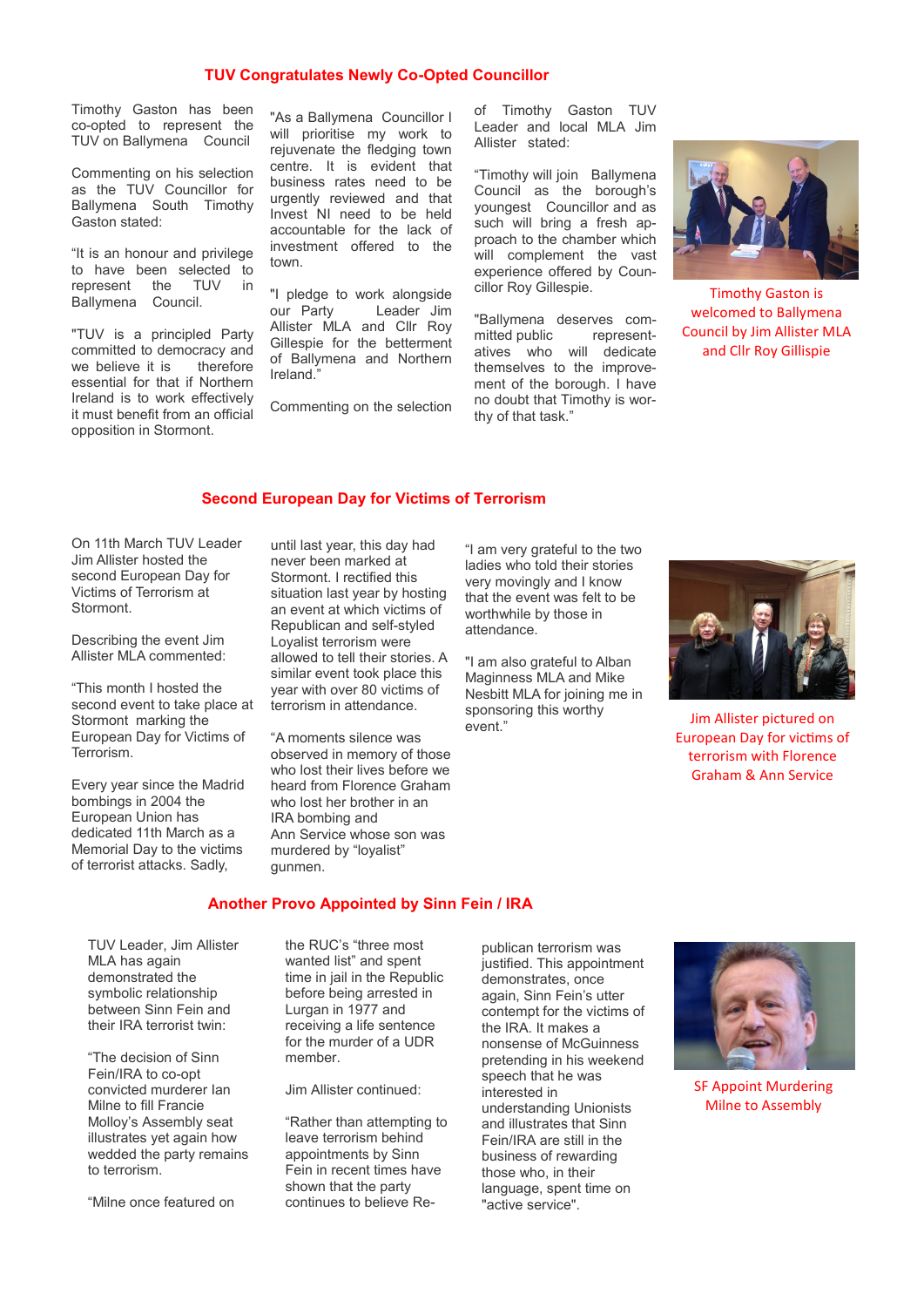#### **TUV Congratulates Newly Co-Opted Councillor**

Timothy Gaston has been co-opted to represent the TUV on Ballymena Council

Commenting on his selection as the TUV Councillor for Ballymena South Timothy Gaston stated:

"It is an honour and privilege to have been selected to represent the TUV in Ballymena Council.

"TUV is a principled Party committed to democracy and<br>we believe it is therefore we believe it is essential for that if Northern Ireland is to work effectively it must benefit from an official opposition in Stormont.

"As a Ballymena Councillor I will prioritise my work to rejuvenate the fledging town centre. It is evident that business rates need to be urgently reviewed and that Invest NI need to be held accountable for the lack of investment offered to the town.

"I pledge to work alongside our Party Leader Jim Allister MLA and Cllr Roy Gillespie for the betterment of Ballymena and Northern Ireland."

Commenting on the selection

of Timothy Gaston TUV Leader and local MLA Jim Allister stated:

"Timothy will join Ballymena Council as the borough"s youngest Councillor and as such will bring a fresh approach to the chamber which will complement the vast experience offered by Councillor Roy Gillespie.

"Ballymena deserves committed public representatives who will dedicate themselves to the improvement of the borough. I have no doubt that Timothy is worthy of that task."



Timothy Gaston is welcomed to Ballymena Council by Jim Allister MLA and Cllr Roy Gillispie

#### **Second European Day for Victims of Terrorism**

On 11th March TUV Leader Jim Allister hosted the second European Day for Victims of Terrorism at Stormont.

Describing the event Jim Allister MLA commented:

"This month I hosted the second event to take place at Stormont marking the European Day for Victims of Terrorism.

Every year since the Madrid bombings in 2004 the European Union has dedicated 11th March as a Memorial Day to the victims of terrorist attacks. Sadly,

until last year, this day had never been marked at Stormont. I rectified this situation last year by hosting an event at which victims of Republican and self-styled Loyalist terrorism were allowed to tell their stories. A similar event took place this year with over 80 victims of terrorism in attendance.

"A moments silence was observed in memory of those who lost their lives before we heard from Florence Graham who lost her brother in an IRA bombing and Ann Service whose son was murdered by "loyalist" gunmen.

"I am very grateful to the two ladies who told their stories very movingly and I know that the event was felt to be worthwhile by those in attendance.

"I am also grateful to Alban Maginness MLA and Mike Nesbitt MLA for joining me in sponsoring this worthy event."



Jim Allister pictured on European Day for victims of terrorism with Florence Graham & Ann Service

#### **Another Provo Appointed by Sinn Fein / IRA**

TUV Leader, Jim Allister MLA has again demonstrated the symbolic relationship between Sinn Fein and their IRA terrorist twin:

"The decision of Sinn Fein/IRA to co-opt convicted murderer Ian Milne to fill Francie Molloy"s Assembly seat illustrates yet again how wedded the party remains to terrorism.

"Milne once featured on

the RUC"s "three most wanted list" and spent time in jail in the Republic before being arrested in Lurgan in 1977 and receiving a life sentence for the murder of a UDR member.

Jim Allister continued:

"Rather than attempting to leave terrorism behind appointments by Sinn Fein in recent times have shown that the party continues to believe Republican terrorism was justified. This appointment demonstrates, once again, Sinn Fein"s utter contempt for the victims of the IRA. It makes a nonsense of McGuinness pretending in his weekend speech that he was interested in understanding Unionists and illustrates that Sinn Fein/IRA are still in the business of rewarding those who, in their language, spent time on "active service".



SF Appoint Murdering Milne to Assembly